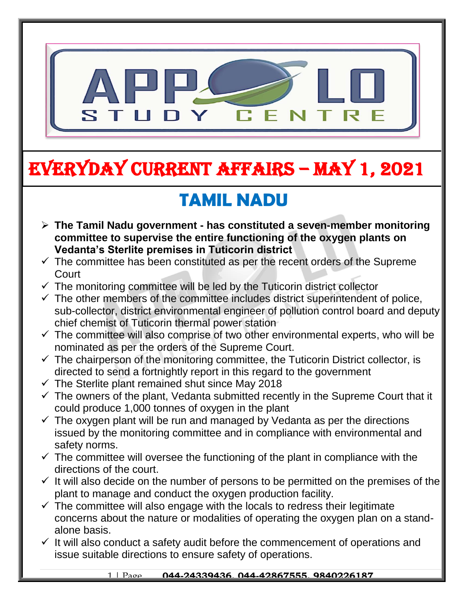

# EVERYDAY CURRENT AFFAIRS – MAY 1, 2021

## **TAMIL NADU**

- **The Tamil Nadu government - has constituted a seven-member monitoring committee to supervise the entire functioning of the oxygen plants on Vedanta's Sterlite premises in Tuticorin district**
- $\checkmark$  The committee has been constituted as per the recent orders of the Supreme **Court**
- $\checkmark$  The monitoring committee will be led by the Tuticorin district collector
- $\checkmark$  The other members of the committee includes district superintendent of police, sub-collector, district environmental engineer of pollution control board and deputy chief chemist of Tuticorin thermal power station
- $\checkmark$  The committee will also comprise of two other environmental experts, who will be nominated as per the orders of the Supreme Court.
- $\checkmark$  The chairperson of the monitoring committee, the Tuticorin District collector, is directed to send a fortnightly report in this regard to the government
- $\checkmark$  The Sterlite plant remained shut since May 2018

-

- $\checkmark$  The owners of the plant, Vedanta submitted recently in the Supreme Court that it could produce 1,000 tonnes of oxygen in the plant
- $\checkmark$  The oxygen plant will be run and managed by Vedanta as per the directions issued by the monitoring committee and in compliance with environmental and safety norms.
- $\checkmark$  The committee will oversee the functioning of the plant in compliance with the directions of the court.
- $\checkmark$  It will also decide on the number of persons to be permitted on the premises of the plant to manage and conduct the oxygen production facility.
- $\checkmark$  The committee will also engage with the locals to redress their legitimate concerns about the nature or modalities of operating the oxygen plan on a standalone basis.
- $\checkmark$  It will also conduct a safety audit before the commencement of operations and issue suitable directions to ensure safety of operations.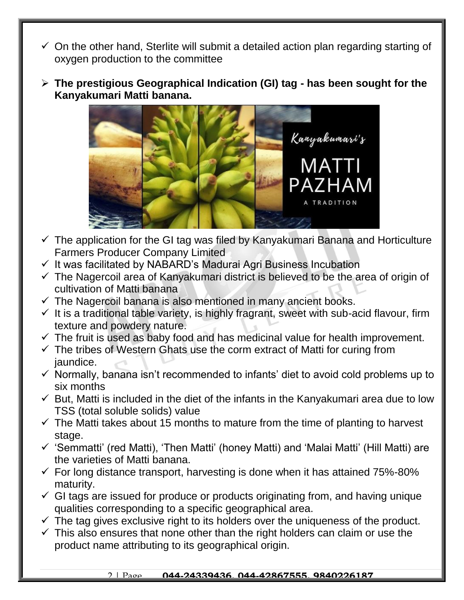- $\checkmark$  On the other hand, Sterlite will submit a detailed action plan regarding starting of oxygen production to the committee
- **The prestigious Geographical Indication (GI) tag - has been sought for the Kanyakumari Matti banana.**



- $\checkmark$  The application for the GI tag was filed by Kanyakumari Banana and Horticulture Farmers Producer Company Limited
- $\checkmark$  It was facilitated by NABARD's Madurai Agri Business Incubation
- $\checkmark$  The Nagercoil area of Kanyakumari district is believed to be the area of origin of cultivation of Matti banana
- $\checkmark$  The Nagercoil banana is also mentioned in many ancient books.
- $\checkmark$  It is a traditional table variety, is highly fragrant, sweet with sub-acid flavour, firm texture and powdery nature.
- $\checkmark$  The fruit is used as baby food and has medicinal value for health improvement.
- $\checkmark$  The tribes of Western Ghats use the corm extract of Matti for curing from jaundice.
- $\checkmark$  Normally, banana isn't recommended to infants' diet to avoid cold problems up to six months
- $\checkmark$  But, Matti is included in the diet of the infants in the Kanyakumari area due to low TSS (total soluble solids) value
- $\checkmark$  The Matti takes about 15 months to mature from the time of planting to harvest stage.
- $\checkmark$  'Semmatti' (red Matti), 'Then Matti' (honey Matti) and 'Malai Matti' (Hill Matti) are the varieties of Matti banana.
- $\checkmark$  For long distance transport, harvesting is done when it has attained 75%-80% maturity.
- $\checkmark$  GI tags are issued for produce or products originating from, and having unique qualities corresponding to a specific geographical area.
- $\checkmark$  The tag gives exclusive right to its holders over the uniqueness of the product.
- $\checkmark$  This also ensures that none other than the right holders can claim or use the product name attributing to its geographical origin.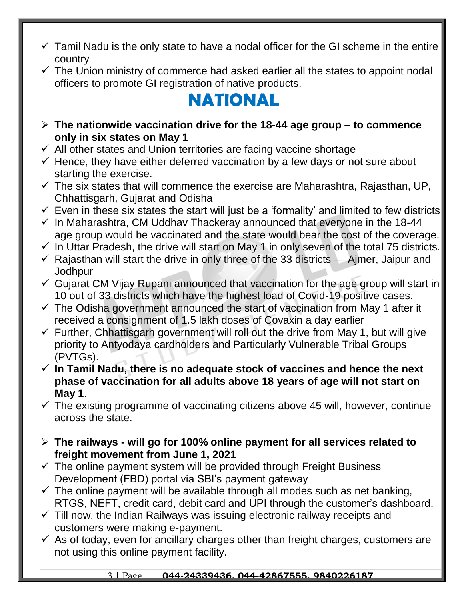- $\checkmark$  Tamil Nadu is the only state to have a nodal officer for the GI scheme in the entire country
- $\checkmark$  The Union ministry of commerce had asked earlier all the states to appoint nodal officers to promote GI registration of native products.

## **NATIONAL**

- **The nationwide vaccination drive for the 18-44 age group – to commence only in six states on May 1**
- $\checkmark$  All other states and Union territories are facing vaccine shortage
- $\checkmark$  Hence, they have either deferred vaccination by a few days or not sure about starting the exercise.
- $\checkmark$  The six states that will commence the exercise are Maharashtra, Rajasthan, UP, Chhattisgarh, Gujarat and Odisha
- $\checkmark$  Even in these six states the start will just be a 'formality' and limited to few districts
- $\checkmark$  In Maharashtra, CM Uddhav Thackeray announced that everyone in the 18-44 age group would be vaccinated and the state would bear the cost of the coverage.
- $\checkmark$  In Uttar Pradesh, the drive will start on May 1 in only seven of the total 75 districts.
- $\checkmark$  Rajasthan will start the drive in only three of the 33 districts Ajmer, Jaipur and **Jodhpur**
- $\checkmark$  Gujarat CM Vijay Rupani announced that vaccination for the age group will start in 10 out of 33 districts which have the highest load of Covid-19 positive cases.
- $\checkmark$  The Odisha government announced the start of vaccination from May 1 after it received a consignment of 1.5 lakh doses of Covaxin a day earlier
- $\checkmark$  Further, Chhattisgarh government will roll out the drive from May 1, but will give priority to Antyodaya cardholders and Particularly Vulnerable Tribal Groups (PVTGs).
- **In Tamil Nadu, there is no adequate stock of vaccines and hence the next phase of vaccination for all adults above 18 years of age will not start on May 1**.
- $\checkmark$  The existing programme of vaccinating citizens above 45 will, however, continue across the state.
- **The railways - will go for 100% online payment for all services related to freight movement from June 1, 2021**
- $\checkmark$  The online payment system will be provided through Freight Business Development (FBD) portal via SBI's payment gateway
- $\checkmark$  The online payment will be available through all modes such as net banking, RTGS, NEFT, credit card, debit card and UPI through the customer's dashboard.
- $\checkmark$  Till now, the Indian Railways was issuing electronic railway receipts and customers were making e-payment.
- $\checkmark$  As of today, even for ancillary charges other than freight charges, customers are not using this online payment facility.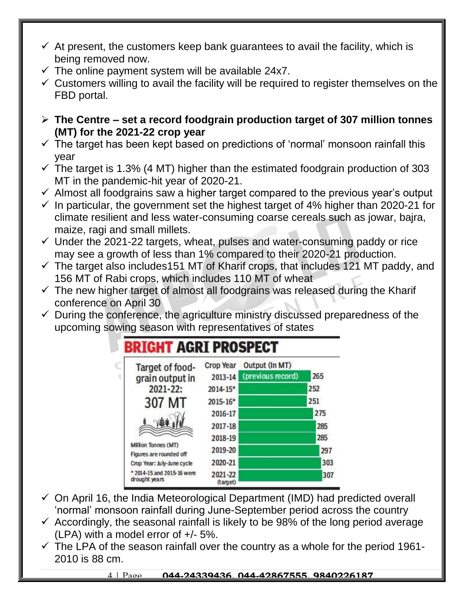- $\checkmark$  At present, the customers keep bank guarantees to avail the facility, which is being removed now.
- $\checkmark$  The online payment system will be available 24x7.
- $\checkmark$  Customers willing to avail the facility will be required to register themselves on the FBD portal.
- **The Centre – set a record foodgrain production target of 307 million tonnes (MT) for the 2021-22 crop year**
- $\checkmark$  The target has been kept based on predictions of 'normal' monsoon rainfall this year
- $\checkmark$  The target is 1.3% (4 MT) higher than the estimated foodgrain production of 303 MT in the pandemic-hit year of 2020-21.
- $\checkmark$  Almost all foodgrains saw a higher target compared to the previous year's output
- $\checkmark$  In particular, the government set the highest target of 4% higher than 2020-21 for climate resilient and less water-consuming coarse cereals such as jowar, bajra, maize, ragi and small millets.
- $\checkmark$  Under the 2021-22 targets, wheat, pulses and water-consuming paddy or rice may see a growth of less than 1% compared to their 2020-21 production.
- $\checkmark$  The target also includes151 MT of Kharif crops, that includes 121 MT paddy, and 156 MT of Rabi crops, which includes 110 MT of wheat
- $\checkmark$  The new higher target of almost all foodgrains was released during the Kharif conference on April 30
- $\checkmark$  During the conference, the agriculture ministry discussed preparedness of the upcoming sowing season with representatives of states

| Target of food-                                | <b>Crop Year</b>    | Output (In MT)<br>(previous record) | 265 |
|------------------------------------------------|---------------------|-------------------------------------|-----|
| grain output in                                | 2013-14             |                                     |     |
| 2021-22:                                       | 2014-15*            |                                     | 252 |
| 307 MT                                         | 2015-16*            |                                     | 251 |
|                                                | 2016-17             |                                     | 275 |
|                                                | 2017-18             |                                     | 285 |
|                                                | 2018-19             |                                     | 285 |
| Million Tonnes (MT)<br>Figures are rounded off | 2019-20             |                                     | 297 |
| Crop Year: July-June cycle                     | 2020-21             |                                     | 303 |
| * 2014-15 and 2015-16 were<br>drought years    | 2021-22<br>(target) |                                     | 307 |

- $\checkmark$  On April 16, the India Meteorological Department (IMD) had predicted overall 'normal' monsoon rainfall during June-September period across the country
- $\checkmark$  Accordingly, the seasonal rainfall is likely to be 98% of the long period average (LPA) with a model error of +/- 5%.
- $\checkmark$  The LPA of the season rainfall over the country as a whole for the period 1961-2010 is 88 cm.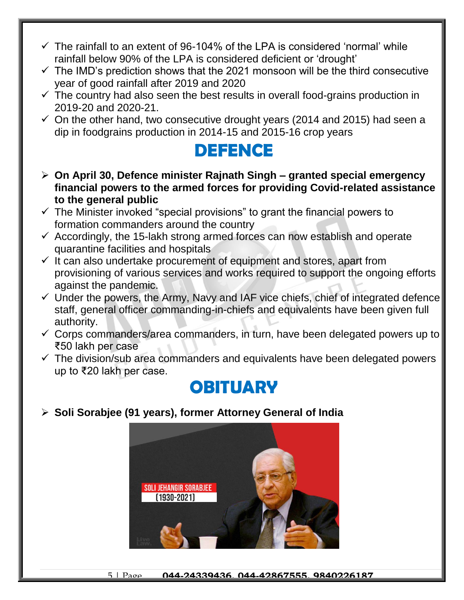- $\checkmark$  The rainfall to an extent of 96-104% of the LPA is considered 'normal' while rainfall below 90% of the LPA is considered deficient or 'drought'
- $\checkmark$  The IMD's prediction shows that the 2021 monsoon will be the third consecutive year of good rainfall after 2019 and 2020
- $\checkmark$  The country had also seen the best results in overall food-grains production in 2019-20 and 2020-21.
- $\checkmark$  On the other hand, two consecutive drought years (2014 and 2015) had seen a dip in foodgrains production in 2014-15 and 2015-16 crop years

### **DEFENCE**

- **On April 30, Defence minister Rajnath Singh – granted special emergency financial powers to the armed forces for providing Covid-related assistance to the general public**
- $\checkmark$  The Minister invoked "special provisions" to grant the financial powers to formation commanders around the country
- $\checkmark$  Accordingly, the 15-lakh strong armed forces can now establish and operate quarantine facilities and hospitals
- $\checkmark$  It can also undertake procurement of equipment and stores, apart from provisioning of various services and works required to support the ongoing efforts against the pandemic.
- $\checkmark$  Under the powers, the Army, Navy and IAF vice chiefs, chief of integrated defence staff, general officer commanding-in-chiefs and equivalents have been given full authority.
- $\checkmark$  Corps commanders/area commanders, in turn, have been delegated powers up to ₹50 lakh per case
- $\checkmark$  The division/sub area commanders and equivalents have been delegated powers up to ₹20 lakh per case.

### **OBITUARY**

**Soli Sorabjee (91 years), former Attorney General of India**

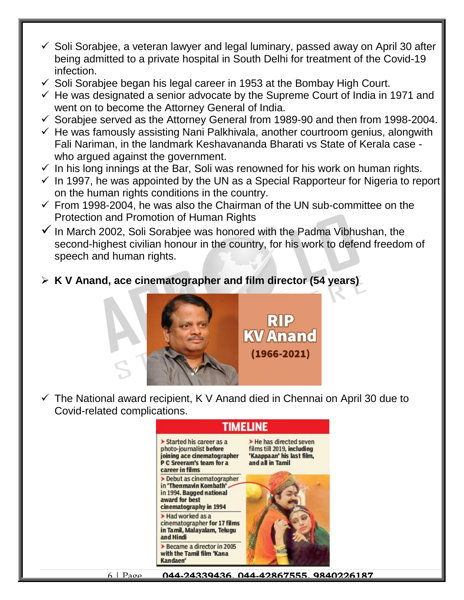- $\checkmark$  Soli Sorabiee, a veteran lawyer and legal luminary, passed away on April 30 after being admitted to a private hospital in South Delhi for treatment of the Covid-19 infection.
- $\checkmark$  Soli Sorabiee began his legal career in 1953 at the Bombay High Court.
- $\checkmark$  He was designated a senior advocate by the Supreme Court of India in 1971 and went on to become the Attorney General of India.
- $\checkmark$  Sorabjee served as the Attorney General from 1989-90 and then from 1998-2004.
- $\checkmark$  He was famously assisting Nani Palkhivala, another courtroom genius, alongwith Fali Nariman, in the landmark Keshavananda Bharati vs State of Kerala case who argued against the government.
- $\checkmark$  In his long innings at the Bar, Soli was renowned for his work on human rights.
- $\checkmark$  In 1997, he was appointed by the UN as a Special Rapporteur for Nigeria to report on the human rights conditions in the country.
- $\checkmark$  From 1998-2004, he was also the Chairman of the UN sub-committee on the Protection and Promotion of Human Rights
- $\checkmark$  In March 2002, Soli Sorabiee was honored with the Padma Vibhushan, the second-highest civilian honour in the country, for his work to defend freedom of speech and human rights.

#### **K V Anand, ace cinematographer and film director (54 years)**



 $\checkmark$  The National award recipient, K V Anand died in Chennai on April 30 due to Covid-related complications.

#### TIMELINE



6 | Page **044-24339436, 044-42867555, 9840226187**